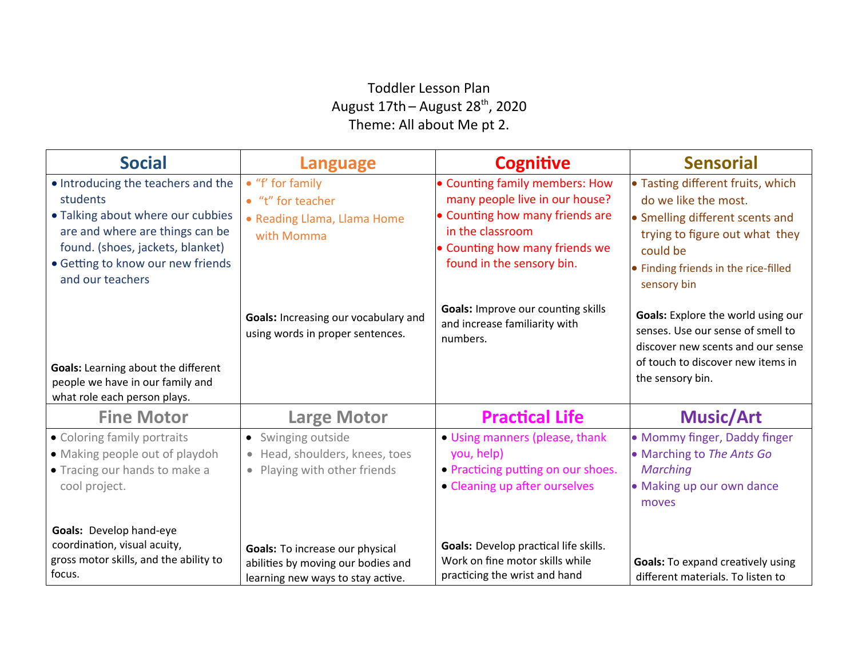## Toddler Lesson Plan August  $17th -$  August  $28^{th}$ , 2020 Theme: All about Me pt 2.

| <b>Social</b>                                                                                                                                                                                                       | <b>Language</b>                                                                                            | <b>Cognitive</b>                                                                                                                                                                       | <b>Sensorial</b>                                                                                                                                                                                  |
|---------------------------------------------------------------------------------------------------------------------------------------------------------------------------------------------------------------------|------------------------------------------------------------------------------------------------------------|----------------------------------------------------------------------------------------------------------------------------------------------------------------------------------------|---------------------------------------------------------------------------------------------------------------------------------------------------------------------------------------------------|
| • Introducing the teachers and the<br>students<br>• Talking about where our cubbies<br>are and where are things can be<br>found. (shoes, jackets, blanket)<br>• Getting to know our new friends<br>and our teachers | $\bullet$ "f' for family<br>• "t" for teacher<br>• Reading Llama, Llama Home<br>with Momma                 | • Counting family members: How<br>many people live in our house?<br>• Counting how many friends are<br>in the classroom<br>• Counting how many friends we<br>found in the sensory bin. | • Tasting different fruits, which<br>do we like the most.<br>• Smelling different scents and<br>trying to figure out what they<br>could be<br>• Finding friends in the rice-filled<br>sensory bin |
| <b>Goals:</b> Learning about the different<br>people we have in our family and<br>what role each person plays.                                                                                                      | Goals: Increasing our vocabulary and<br>using words in proper sentences.                                   | <b>Goals: Improve our counting skills</b><br>and increase familiarity with<br>numbers.                                                                                                 | Goals: Explore the world using our<br>senses. Use our sense of smell to<br>discover new scents and our sense<br>of touch to discover new items in<br>the sensory bin.                             |
| <b>Fine Motor</b>                                                                                                                                                                                                   | <b>Large Motor</b>                                                                                         | <b>Practical Life</b>                                                                                                                                                                  | <b>Music/Art</b>                                                                                                                                                                                  |
| • Coloring family portraits<br>• Making people out of playdoh<br>• Tracing our hands to make a<br>cool project.                                                                                                     | • Swinging outside<br>• Head, shoulders, knees, toes<br>• Playing with other friends                       | • Using manners (please, thank<br>you, help)<br>• Practicing putting on our shoes.<br>• Cleaning up after ourselves                                                                    | • Mommy finger, Daddy finger<br>• Marching to The Ants Go<br>Marching<br>• Making up our own dance<br>moves                                                                                       |
| Goals: Develop hand-eye<br>coordination, visual acuity,<br>gross motor skills, and the ability to<br>focus.                                                                                                         | Goals: To increase our physical<br>abilities by moving our bodies and<br>learning new ways to stay active. | <b>Goals:</b> Develop practical life skills.<br>Work on fine motor skills while<br>practicing the wrist and hand                                                                       | <b>Goals:</b> To expand creatively using<br>different materials. To listen to                                                                                                                     |